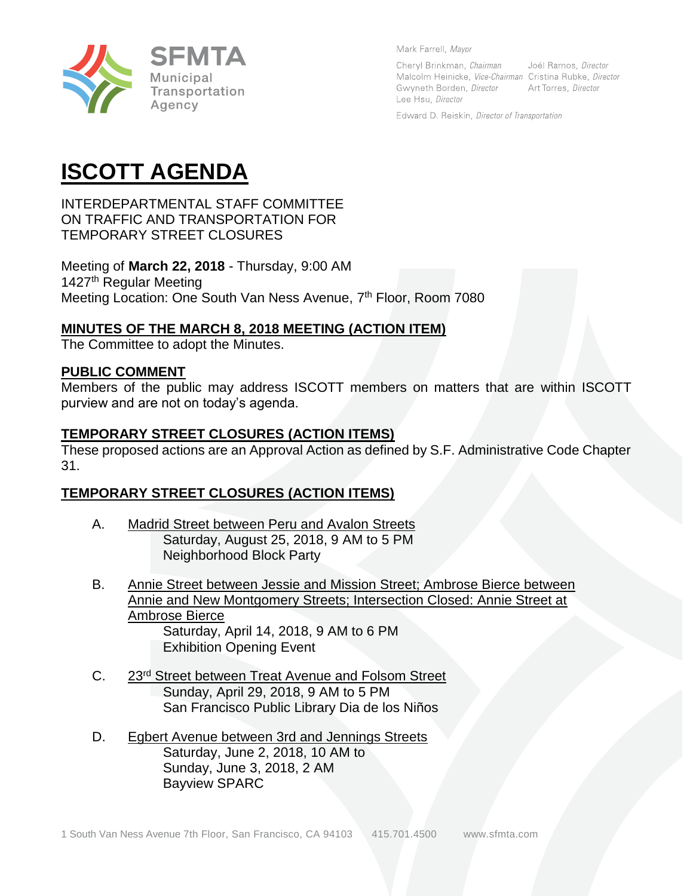

Mark Farrell, Mayor

Cheryl Brinkman, Chairman Joél Ramos, Director Malcolm Heinicke, Vice-Chairman Cristina Rubke, Director Gwyneth Borden, Director Art Torres, Director Lee Hsu, Director

Edward D. Reiskin, Director of Transportation

# **ISCOTT AGENDA**

INTERDEPARTMENTAL STAFF COMMITTEE ON TRAFFIC AND TRANSPORTATION FOR TEMPORARY STREET CLOSURES

Meeting of **March 22, 2018** - Thursday, 9:00 AM 1427<sup>th</sup> Regular Meeting Meeting Location: One South Van Ness Avenue, 7<sup>th</sup> Floor, Room 7080

## **MINUTES OF THE MARCH 8, 2018 MEETING (ACTION ITEM)**

The Committee to adopt the Minutes.

#### **PUBLIC COMMENT**

Members of the public may address ISCOTT members on matters that are within ISCOTT purview and are not on today's agenda.

## **TEMPORARY STREET CLOSURES (ACTION ITEMS)**

These proposed actions are an Approval Action as defined by S.F. Administrative Code Chapter 31.

## **TEMPORARY STREET CLOSURES (ACTION ITEMS)**

- A. Madrid Street between Peru and Avalon Streets Saturday, August 25, 2018, 9 AM to 5 PM Neighborhood Block Party
- B. Annie Street between Jessie and Mission Street; Ambrose Bierce between Annie and New Montgomery Streets; Intersection Closed: Annie Street at Ambrose Bierce Saturday, April 14, 2018, 9 AM to 6 PM Exhibition Opening Event
- C. 23rd Street between Treat Avenue and Folsom Street Sunday, April 29, 2018, 9 AM to 5 PM San Francisco Public Library Dia de los Niños
- D. Egbert Avenue between 3rd and Jennings Streets Saturday, June 2, 2018, 10 AM to Sunday, June 3, 2018, 2 AM Bayview SPARC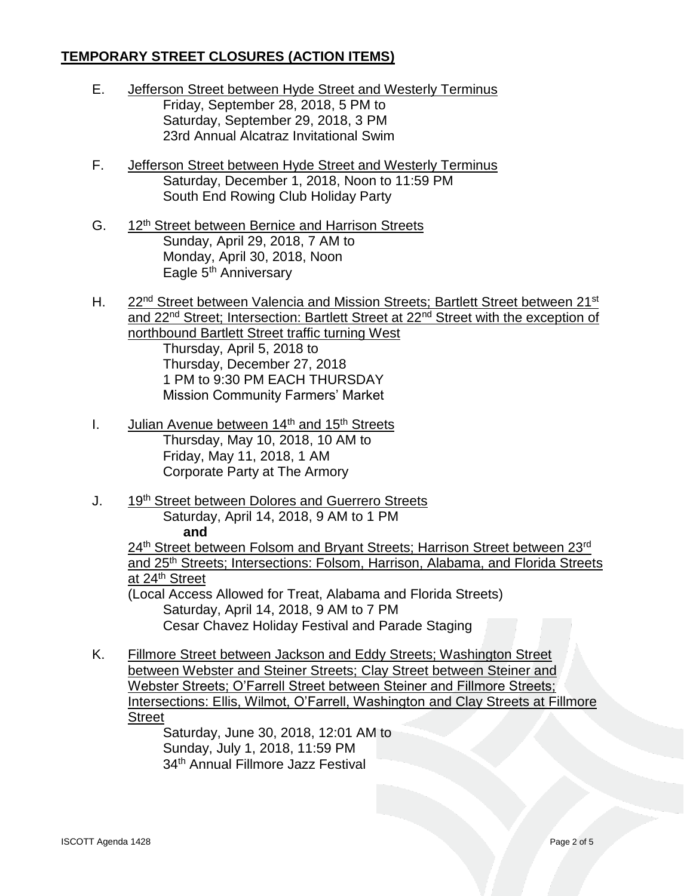- E. Jefferson Street between Hyde Street and Westerly Terminus Friday, September 28, 2018, 5 PM to Saturday, September 29, 2018, 3 PM 23rd Annual Alcatraz Invitational Swim
- F. Jefferson Street between Hyde Street and Westerly Terminus Saturday, December 1, 2018, Noon to 11:59 PM South End Rowing Club Holiday Party
- G. 12th Street between Bernice and Harrison Streets Sunday, April 29, 2018, 7 AM to Monday, April 30, 2018, Noon Eagle 5<sup>th</sup> Anniversary
- H. 22<sup>nd</sup> Street between Valencia and Mission Streets; Bartlett Street between 21<sup>st</sup> and 22<sup>nd</sup> Street; Intersection: Bartlett Street at 22<sup>nd</sup> Street with the exception of northbound Bartlett Street traffic turning West Thursday, April 5, 2018 to Thursday, December 27, 2018 1 PM to 9:30 PM EACH THURSDAY Mission Community Farmers' Market
- I. Julian Avenue between  $14<sup>th</sup>$  and  $15<sup>th</sup>$  Streets Thursday, May 10, 2018, 10 AM to Friday, May 11, 2018, 1 AM Corporate Party at The Armory
- J. 19th Street between Dolores and Guerrero Streets Saturday, April 14, 2018, 9 AM to 1 PM **and**

24<sup>th</sup> Street between Folsom and Bryant Streets; Harrison Street between 23<sup>rd</sup> and 25th Streets; Intersections: Folsom, Harrison, Alabama, and Florida Streets at 24th Street (Local Access Allowed for Treat, Alabama and Florida Streets) Saturday, April 14, 2018, 9 AM to 7 PM

Cesar Chavez Holiday Festival and Parade Staging

K. Fillmore Street between Jackson and Eddy Streets; Washington Street between Webster and Steiner Streets; Clay Street between Steiner and Webster Streets; O'Farrell Street between Steiner and Fillmore Streets; Intersections: Ellis, Wilmot, O'Farrell, Washington and Clay Streets at Fillmore **Street** 

Saturday, June 30, 2018, 12:01 AM to Sunday, July 1, 2018, 11:59 PM 34th Annual Fillmore Jazz Festival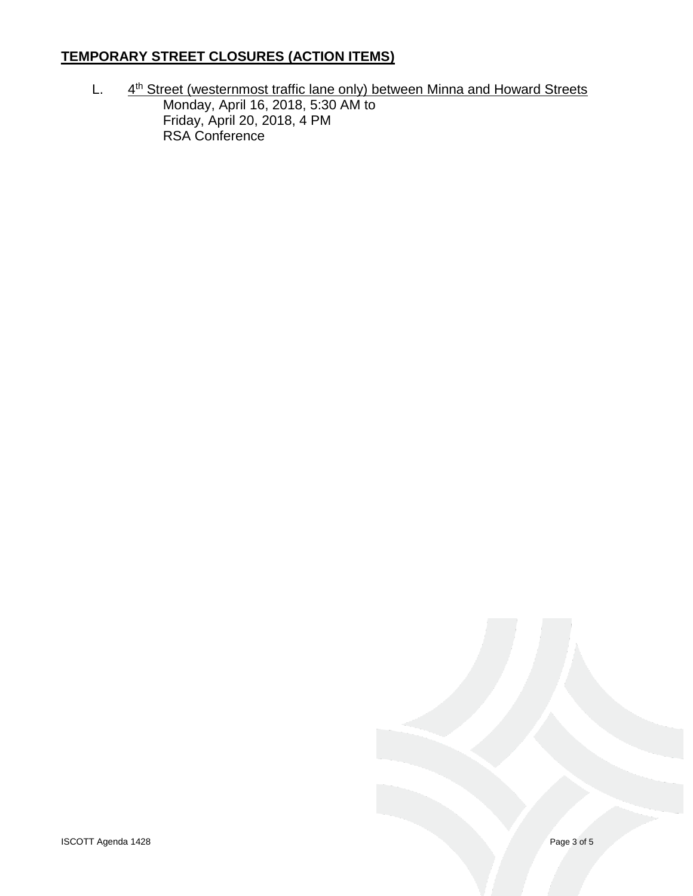$L.$ 4<sup>th</sup> Street (westernmost traffic lane only) between Minna and Howard Streets Monday, April 16, 2018, 5:30 AM to Friday, April 20, 2018, 4 PM RSA Conference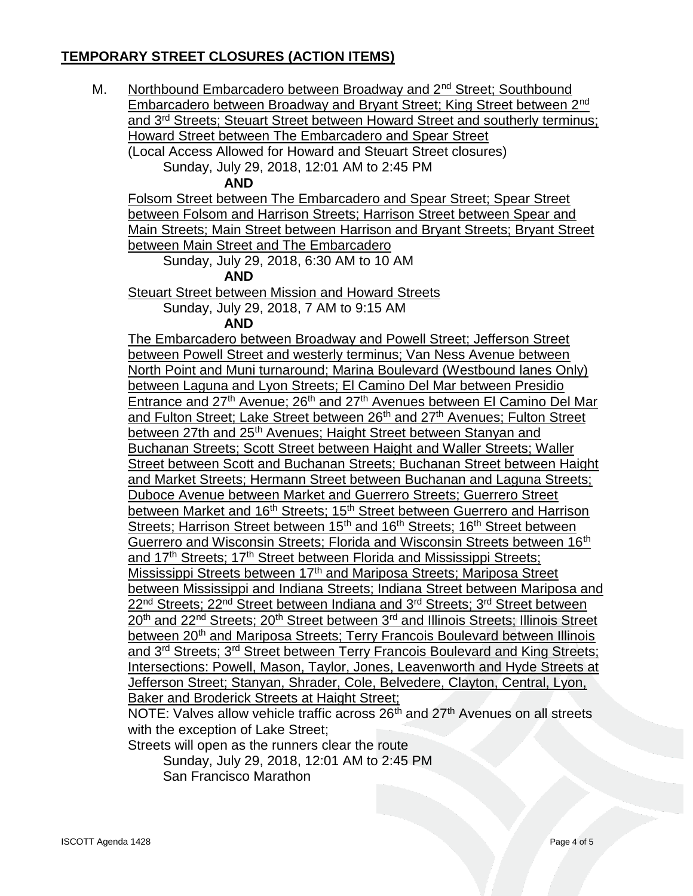M. Northbound Embarcadero between Broadway and 2<sup>nd</sup> Street; Southbound Embarcadero between Broadway and Bryant Street; King Street between 2nd and 3rd Streets; Steuart Street between Howard Street and southerly terminus; Howard Street between The Embarcadero and Spear Street (Local Access Allowed for Howard and Steuart Street closures)

Sunday, July 29, 2018, 12:01 AM to 2:45 PM

**AND**

Folsom Street between The Embarcadero and Spear Street; Spear Street between Folsom and Harrison Streets; Harrison Street between Spear and Main Streets; Main Street between Harrison and Bryant Streets; Bryant Street between Main Street and The Embarcadero

Sunday, July 29, 2018, 6:30 AM to 10 AM

**AND**

Steuart Street between Mission and Howard Streets

Sunday, July 29, 2018, 7 AM to 9:15 AM

**AND**

The Embarcadero between Broadway and Powell Street; Jefferson Street between Powell Street and westerly terminus; Van Ness Avenue between North Point and Muni turnaround; Marina Boulevard (Westbound lanes Only) between Laguna and Lyon Streets; El Camino Del Mar between Presidio Entrance and 27<sup>th</sup> Avenue; 26<sup>th</sup> and 27<sup>th</sup> Avenues between El Camino Del Mar and Fulton Street; Lake Street between 26<sup>th</sup> and 27<sup>th</sup> Avenues; Fulton Street between 27th and 25<sup>th</sup> Avenues; Haight Street between Stanyan and Buchanan Streets; Scott Street between Haight and Waller Streets; Waller Street between Scott and Buchanan Streets; Buchanan Street between Haight and Market Streets; Hermann Street between Buchanan and Laguna Streets; Duboce Avenue between Market and Guerrero Streets; Guerrero Street between Market and 16<sup>th</sup> Streets; 15<sup>th</sup> Street between Guerrero and Harrison Streets; Harrison Street between 15<sup>th</sup> and 16<sup>th</sup> Streets; 16<sup>th</sup> Street between Guerrero and Wisconsin Streets; Florida and Wisconsin Streets between 16<sup>th</sup> and 17<sup>th</sup> Streets: 17<sup>th</sup> Street between Florida and Mississippi Streets: Mississippi Streets between 17<sup>th</sup> and Mariposa Streets; Mariposa Street between Mississippi and Indiana Streets; Indiana Street between Mariposa and 22<sup>nd</sup> Streets; 22<sup>nd</sup> Street between Indiana and 3<sup>rd</sup> Streets; 3<sup>rd</sup> Street between 20<sup>th</sup> and 22<sup>nd</sup> Streets; 20<sup>th</sup> Street between 3<sup>rd</sup> and Illinois Streets; Illinois Street between 20<sup>th</sup> and Mariposa Streets: Terry Francois Boulevard between Illinois and 3rd Streets; 3rd Street between Terry Francois Boulevard and King Streets; Intersections: Powell, Mason, Taylor, Jones, Leavenworth and Hyde Streets at Jefferson Street; Stanyan, Shrader, Cole, Belvedere, Clayton, Central, Lyon, Baker and Broderick Streets at Haight Street;

NOTE: Valves allow vehicle traffic across 26<sup>th</sup> and 27<sup>th</sup> Avenues on all streets with the exception of Lake Street:

Streets will open as the runners clear the route

Sunday, July 29, 2018, 12:01 AM to 2:45 PM San Francisco Marathon